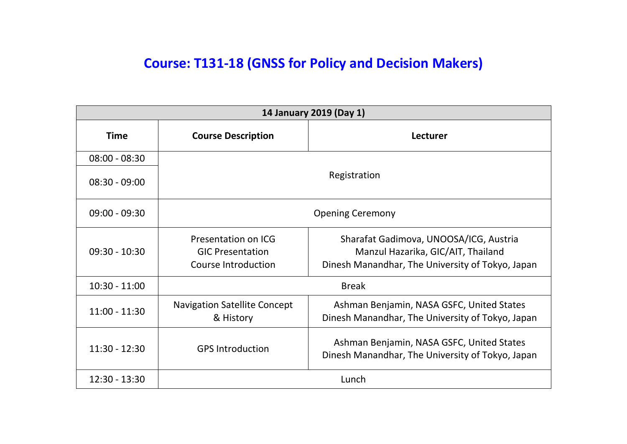## **Course: T131-18 (GNSS for Policy and Decision Makers)**

| 14 January 2019 (Day 1) |                                                                       |                                                                                                                                  |
|-------------------------|-----------------------------------------------------------------------|----------------------------------------------------------------------------------------------------------------------------------|
| <b>Time</b>             | <b>Course Description</b>                                             | <b>Lecturer</b>                                                                                                                  |
| $08:00 - 08:30$         |                                                                       |                                                                                                                                  |
| $08:30 - 09:00$         | Registration                                                          |                                                                                                                                  |
| $09:00 - 09:30$         |                                                                       | <b>Opening Ceremony</b>                                                                                                          |
| $09:30 - 10:30$         | Presentation on ICG<br><b>GIC Presentation</b><br>Course Introduction | Sharafat Gadimova, UNOOSA/ICG, Austria<br>Manzul Hazarika, GIC/AIT, Thailand<br>Dinesh Manandhar, The University of Tokyo, Japan |
| $10:30 - 11:00$         |                                                                       | <b>Break</b>                                                                                                                     |
| $11:00 - 11:30$         | <b>Navigation Satellite Concept</b><br>& History                      | Ashman Benjamin, NASA GSFC, United States<br>Dinesh Manandhar, The University of Tokyo, Japan                                    |
| $11:30 - 12:30$         | <b>GPS Introduction</b>                                               | Ashman Benjamin, NASA GSFC, United States<br>Dinesh Manandhar, The University of Tokyo, Japan                                    |
| $12:30 - 13:30$         |                                                                       | Lunch                                                                                                                            |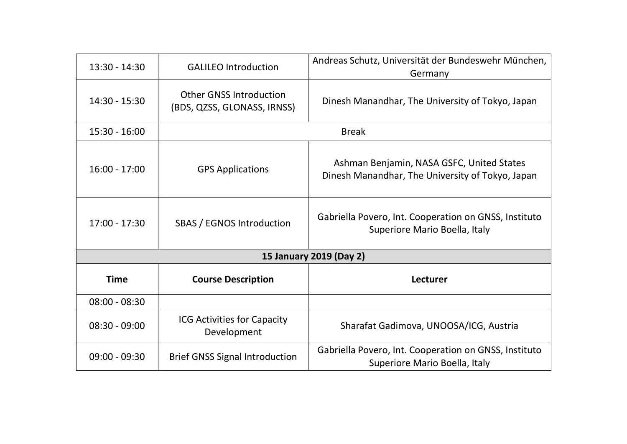| $13:30 - 14:30$         | <b>GALILEO Introduction</b>                                   | Andreas Schutz, Universität der Bundeswehr München,<br>Germany                                |
|-------------------------|---------------------------------------------------------------|-----------------------------------------------------------------------------------------------|
| $14:30 - 15:30$         | <b>Other GNSS Introduction</b><br>(BDS, QZSS, GLONASS, IRNSS) | Dinesh Manandhar, The University of Tokyo, Japan                                              |
| $15:30 - 16:00$         |                                                               | <b>Break</b>                                                                                  |
| $16:00 - 17:00$         | <b>GPS Applications</b>                                       | Ashman Benjamin, NASA GSFC, United States<br>Dinesh Manandhar, The University of Tokyo, Japan |
| $17:00 - 17:30$         | SBAS / EGNOS Introduction                                     | Gabriella Povero, Int. Cooperation on GNSS, Instituto<br>Superiore Mario Boella, Italy        |
| 15 January 2019 (Day 2) |                                                               |                                                                                               |
| <b>Time</b>             | <b>Course Description</b>                                     | Lecturer                                                                                      |
| $08:00 - 08:30$         |                                                               |                                                                                               |
| $08:30 - 09:00$         | <b>ICG Activities for Capacity</b><br>Development             | Sharafat Gadimova, UNOOSA/ICG, Austria                                                        |
| $09:00 - 09:30$         | <b>Brief GNSS Signal Introduction</b>                         | Gabriella Povero, Int. Cooperation on GNSS, Instituto<br>Superiore Mario Boella, Italy        |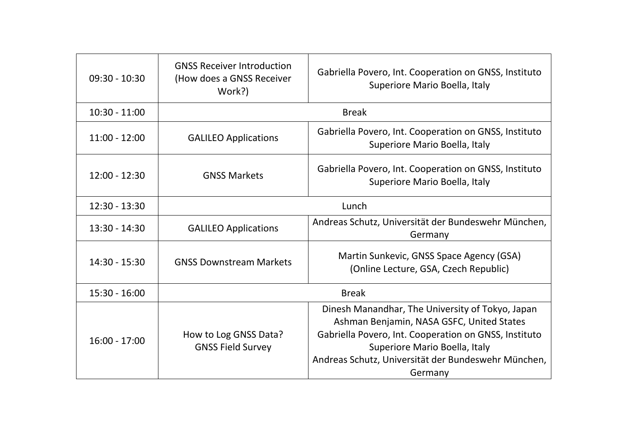| $09:30 - 10:30$ | <b>GNSS Receiver Introduction</b><br>(How does a GNSS Receiver<br>Work?) | Gabriella Povero, Int. Cooperation on GNSS, Instituto<br>Superiore Mario Boella, Italy                                                                                                                                                                    |
|-----------------|--------------------------------------------------------------------------|-----------------------------------------------------------------------------------------------------------------------------------------------------------------------------------------------------------------------------------------------------------|
| $10:30 - 11:00$ | <b>Break</b>                                                             |                                                                                                                                                                                                                                                           |
| $11:00 - 12:00$ | <b>GALILEO Applications</b>                                              | Gabriella Povero, Int. Cooperation on GNSS, Instituto<br>Superiore Mario Boella, Italy                                                                                                                                                                    |
| $12:00 - 12:30$ | <b>GNSS Markets</b>                                                      | Gabriella Povero, Int. Cooperation on GNSS, Instituto<br>Superiore Mario Boella, Italy                                                                                                                                                                    |
| $12:30 - 13:30$ |                                                                          | Lunch                                                                                                                                                                                                                                                     |
| $13:30 - 14:30$ | <b>GALILEO Applications</b>                                              | Andreas Schutz, Universität der Bundeswehr München,<br>Germany                                                                                                                                                                                            |
| $14:30 - 15:30$ | <b>GNSS Downstream Markets</b>                                           | Martin Sunkevic, GNSS Space Agency (GSA)<br>(Online Lecture, GSA, Czech Republic)                                                                                                                                                                         |
| $15:30 - 16:00$ |                                                                          | <b>Break</b>                                                                                                                                                                                                                                              |
| $16:00 - 17:00$ | How to Log GNSS Data?<br><b>GNSS Field Survey</b>                        | Dinesh Manandhar, The University of Tokyo, Japan<br>Ashman Benjamin, NASA GSFC, United States<br>Gabriella Povero, Int. Cooperation on GNSS, Instituto<br>Superiore Mario Boella, Italy<br>Andreas Schutz, Universität der Bundeswehr München,<br>Germany |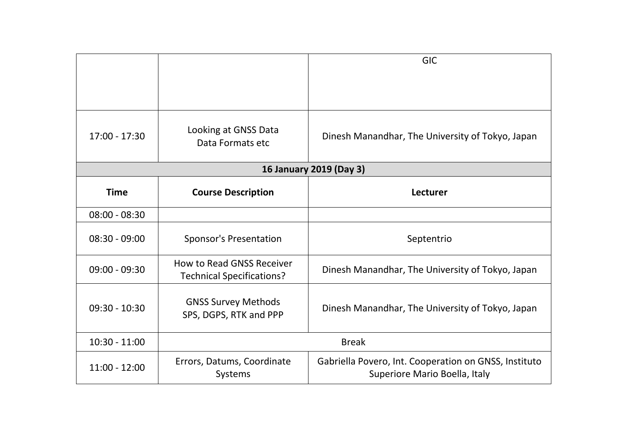|                 |                                                                      | <b>GIC</b>                                                                             |
|-----------------|----------------------------------------------------------------------|----------------------------------------------------------------------------------------|
|                 |                                                                      |                                                                                        |
| $17:00 - 17:30$ | Looking at GNSS Data<br>Data Formats etc                             | Dinesh Manandhar, The University of Tokyo, Japan                                       |
|                 |                                                                      | 16 January 2019 (Day 3)                                                                |
| <b>Time</b>     | <b>Course Description</b>                                            | Lecturer                                                                               |
| $08:00 - 08:30$ |                                                                      |                                                                                        |
| $08:30 - 09:00$ | <b>Sponsor's Presentation</b>                                        | Septentrio                                                                             |
| $09:00 - 09:30$ | <b>How to Read GNSS Receiver</b><br><b>Technical Specifications?</b> | Dinesh Manandhar, The University of Tokyo, Japan                                       |
| $09:30 - 10:30$ | <b>GNSS Survey Methods</b><br>SPS, DGPS, RTK and PPP                 | Dinesh Manandhar, The University of Tokyo, Japan                                       |
| $10:30 - 11:00$ |                                                                      | <b>Break</b>                                                                           |
| $11:00 - 12:00$ | Errors, Datums, Coordinate<br>Systems                                | Gabriella Povero, Int. Cooperation on GNSS, Instituto<br>Superiore Mario Boella, Italy |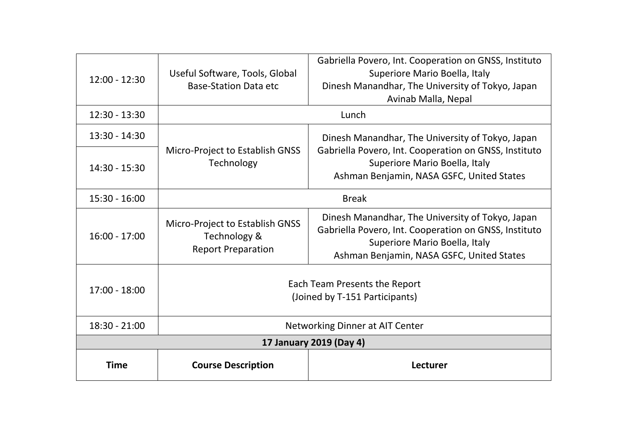| $12:00 - 12:30$         | Useful Software, Tools, Global<br><b>Base-Station Data etc</b>               | Gabriella Povero, Int. Cooperation on GNSS, Instituto<br>Superiore Mario Boella, Italy<br>Dinesh Manandhar, The University of Tokyo, Japan<br>Avinab Malla, Nepal                       |
|-------------------------|------------------------------------------------------------------------------|-----------------------------------------------------------------------------------------------------------------------------------------------------------------------------------------|
| $12:30 - 13:30$         |                                                                              | Lunch                                                                                                                                                                                   |
| $13:30 - 14:30$         |                                                                              | Dinesh Manandhar, The University of Tokyo, Japan                                                                                                                                        |
| $14:30 - 15:30$         | Micro-Project to Establish GNSS<br>Technology                                | Gabriella Povero, Int. Cooperation on GNSS, Instituto<br>Superiore Mario Boella, Italy<br>Ashman Benjamin, NASA GSFC, United States                                                     |
| $15:30 - 16:00$         | <b>Break</b>                                                                 |                                                                                                                                                                                         |
| $16:00 - 17:00$         | Micro-Project to Establish GNSS<br>Technology &<br><b>Report Preparation</b> | Dinesh Manandhar, The University of Tokyo, Japan<br>Gabriella Povero, Int. Cooperation on GNSS, Instituto<br>Superiore Mario Boella, Italy<br>Ashman Benjamin, NASA GSFC, United States |
| $17:00 - 18:00$         | Each Team Presents the Report<br>(Joined by T-151 Participants)              |                                                                                                                                                                                         |
| $18:30 - 21:00$         | Networking Dinner at AIT Center                                              |                                                                                                                                                                                         |
| 17 January 2019 (Day 4) |                                                                              |                                                                                                                                                                                         |
| <b>Time</b>             | <b>Course Description</b>                                                    | Lecturer                                                                                                                                                                                |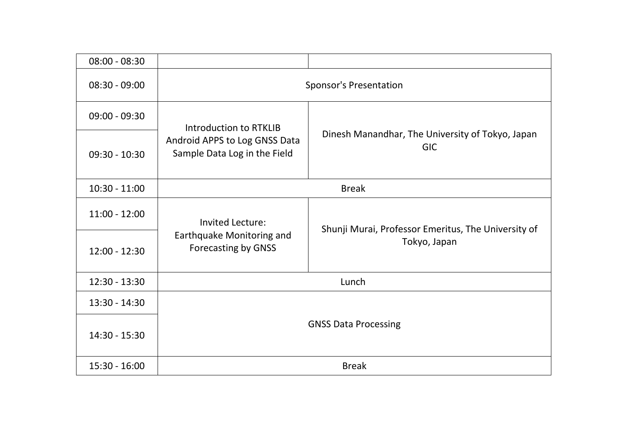| $08:00 - 08:30$ |                                                               |                                                                |
|-----------------|---------------------------------------------------------------|----------------------------------------------------------------|
| $08:30 - 09:00$ | <b>Sponsor's Presentation</b>                                 |                                                                |
| $09:00 - 09:30$ | Introduction to RTKLIB                                        |                                                                |
| $09:30 - 10:30$ | Android APPS to Log GNSS Data<br>Sample Data Log in the Field | Dinesh Manandhar, The University of Tokyo, Japan<br><b>GIC</b> |
| $10:30 - 11:00$ | <b>Break</b>                                                  |                                                                |
| $11:00 - 12:00$ | Invited Lecture:                                              | Shunji Murai, Professor Emeritus, The University of            |
| $12:00 - 12:30$ | Earthquake Monitoring and<br><b>Forecasting by GNSS</b>       | Tokyo, Japan                                                   |
| 12:30 - 13:30   | Lunch                                                         |                                                                |
| $13:30 - 14:30$ |                                                               |                                                                |
| 14:30 - 15:30   | <b>GNSS Data Processing</b>                                   |                                                                |
| 15:30 - 16:00   | <b>Break</b>                                                  |                                                                |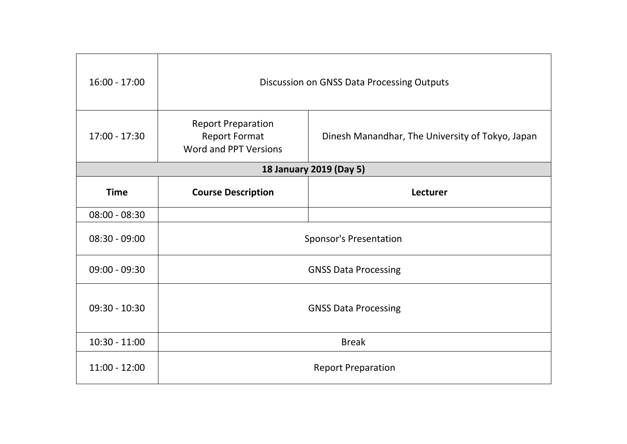| $16:00 - 17:00$ | Discussion on GNSS Data Processing Outputs                                 |                                                  |
|-----------------|----------------------------------------------------------------------------|--------------------------------------------------|
| $17:00 - 17:30$ | <b>Report Preparation</b><br><b>Report Format</b><br>Word and PPT Versions | Dinesh Manandhar, The University of Tokyo, Japan |
|                 |                                                                            | 18 January 2019 (Day 5)                          |
| <b>Time</b>     | <b>Course Description</b>                                                  | Lecturer                                         |
| $08:00 - 08:30$ |                                                                            |                                                  |
| $08:30 - 09:00$ | <b>Sponsor's Presentation</b>                                              |                                                  |
| $09:00 - 09:30$ | <b>GNSS Data Processing</b>                                                |                                                  |
| $09:30 - 10:30$ | <b>GNSS Data Processing</b>                                                |                                                  |
| $10:30 - 11:00$ | <b>Break</b>                                                               |                                                  |
| $11:00 - 12:00$ | <b>Report Preparation</b>                                                  |                                                  |